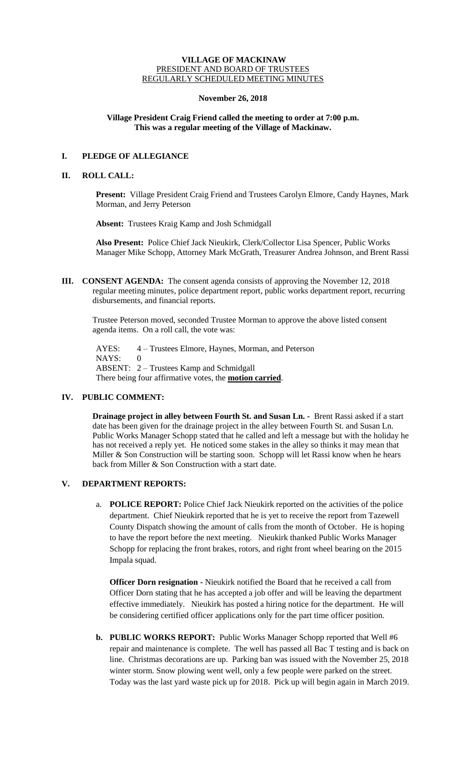### **VILLAGE OF MACKINAW** PRESIDENT AND BOARD OF TRUSTEES REGULARLY SCHEDULED MEETING MINUTES

## **November 26, 2018**

# **Village President Craig Friend called the meeting to order at 7:00 p.m. This was a regular meeting of the Village of Mackinaw.**

# **I. PLEDGE OF ALLEGIANCE**

## **II. ROLL CALL:**

**Present:** Village President Craig Friend and Trustees Carolyn Elmore, Candy Haynes, Mark Morman, and Jerry Peterson

**Absent:** Trustees Kraig Kamp and Josh Schmidgall

**Also Present:** Police Chief Jack Nieukirk, Clerk/Collector Lisa Spencer, Public Works Manager Mike Schopp, Attorney Mark McGrath, Treasurer Andrea Johnson, and Brent Rassi

**III. CONSENT AGENDA:** The consent agenda consists of approving the November 12, 2018 regular meeting minutes, police department report, public works department report, recurring disbursements, and financial reports.

Trustee Peterson moved, seconded Trustee Morman to approve the above listed consent agenda items. On a roll call, the vote was:

AYES: 4 – Trustees Elmore, Haynes, Morman, and Peterson NAYS: 0 ABSENT: 2 – Trustees Kamp and Schmidgall There being four affirmative votes, the **motion carried**.

# **IV. PUBLIC COMMENT:**

**Drainage project in alley between Fourth St. and Susan Ln. -** Brent Rassi asked if a start date has been given for the drainage project in the alley between Fourth St. and Susan Ln. Public Works Manager Schopp stated that he called and left a message but with the holiday he has not received a reply yet. He noticed some stakes in the alley so thinks it may mean that Miller & Son Construction will be starting soon. Schopp will let Rassi know when he hears back from Miller & Son Construction with a start date.

# **V. DEPARTMENT REPORTS:**

a. **POLICE REPORT:** Police Chief Jack Nieukirk reported on the activities of the police department. Chief Nieukirk reported that he is yet to receive the report from Tazewell County Dispatch showing the amount of calls from the month of October. He is hoping to have the report before the next meeting. Nieukirk thanked Public Works Manager Schopp for replacing the front brakes, rotors, and right front wheel bearing on the 2015 Impala squad.

**Officer Dorn resignation -** Nieukirk notified the Board that he received a call from Officer Dorn stating that he has accepted a job offer and will be leaving the department effective immediately. Nieukirk has posted a hiring notice for the department. He will be considering certified officer applications only for the part time officer position.

**b. PUBLIC WORKS REPORT:** Public Works Manager Schopp reported that Well #6 repair and maintenance is complete. The well has passed all Bac T testing and is back on line. Christmas decorations are up. Parking ban was issued with the November 25, 2018 winter storm. Snow plowing went well, only a few people were parked on the street. Today was the last yard waste pick up for 2018. Pick up will begin again in March 2019.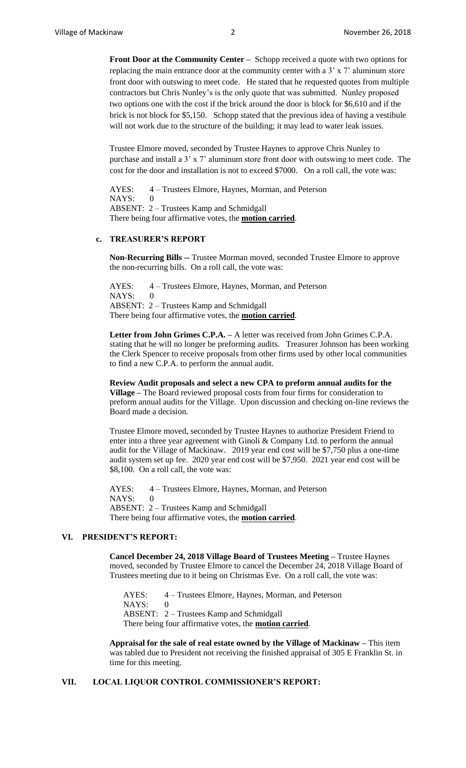**Front Door at the Community Center –** Schopp received a quote with two options for replacing the main entrance door at the community center with a 3' x 7' aluminum store front door with outswing to meet code. He stated that he requested quotes from multiple contractors but Chris Nunley's is the only quote that was submitted. Nunley proposed two options one with the cost if the brick around the door is block for \$6,610 and if the brick is not block for \$5,150. Schopp stated that the previous idea of having a vestibule will not work due to the structure of the building; it may lead to water leak issues.

Trustee Elmore moved, seconded by Trustee Haynes to approve Chris Nunley to purchase and install a 3' x 7' aluminum store front door with outswing to meet code. The cost for the door and installation is not to exceed \$7000. On a roll call, the vote was:

AYES: 4 – Trustees Elmore, Haynes, Morman, and Peterson NAYS: ABSENT: 2 – Trustees Kamp and Schmidgall There being four affirmative votes, the **motion carried**.

#### **c. TREASURER'S REPORT**

**Non-Recurring Bills --** Trustee Morman moved, seconded Trustee Elmore to approve the non-recurring bills. On a roll call, the vote was:

AYES: 4 – Trustees Elmore, Haynes, Morman, and Peterson NAYS: 0 ABSENT: 2 – Trustees Kamp and Schmidgall There being four affirmative votes, the **motion carried**.

**Letter from John Grimes C.P.A. –** A letter was received from John Grimes C.P.A. stating that he will no longer be preforming audits. Treasurer Johnson has been working the Clerk Spencer to receive proposals from other firms used by other local communities to find a new C.P.A. to perform the annual audit.

**Review Audit proposals and select a new CPA to preform annual audits for the Village –** The Board reviewed proposal costs from four firms for consideration to preform annual audits for the Village. Upon discussion and checking on-line reviews the Board made a decision.

Trustee Elmore moved, seconded by Trustee Haynes to authorize President Friend to enter into a three year agreement with Ginoli & Company Ltd. to perform the annual audit for the Village of Mackinaw. 2019 year end cost will be \$7,750 plus a one-time audit system set up fee. 2020 year end cost will be \$7,950. 2021 year end cost will be \$8,100. On a roll call, the vote was:

AYES: 4 – Trustees Elmore, Haynes, Morman, and Peterson NAYS: 0 ABSENT: 2 – Trustees Kamp and Schmidgall There being four affirmative votes, the **motion carried**.

## **VI. PRESIDENT'S REPORT:**

**Cancel December 24, 2018 Village Board of Trustees Meeting –** Trustee Haynes moved, seconded by Trustee Elmore to cancel the December 24, 2018 Village Board of Trustees meeting due to it being on Christmas Eve. On a roll call, the vote was:

AYES: 4 – Trustees Elmore, Haynes, Morman, and Peterson NAYS: 0 ABSENT: 2 – Trustees Kamp and Schmidgall There being four affirmative votes, the **motion carried**.

**Appraisal for the sale of real estate owned by the Village of Mackinaw –** This item was tabled due to President not receiving the finished appraisal of 305 E Franklin St. in time for this meeting.

### **VII. LOCAL LIQUOR CONTROL COMMISSIONER'S REPORT:**